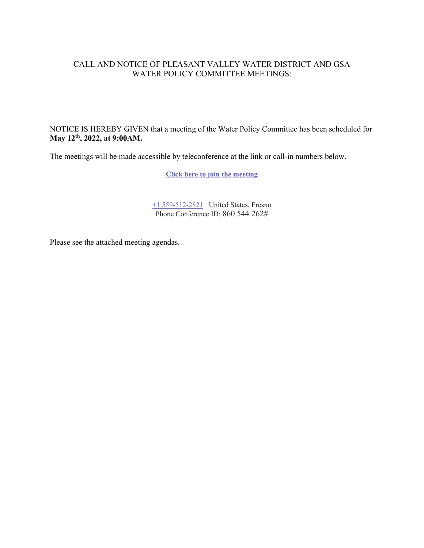#### CALL AND NOTICE OF PLEASANT VALLEY WATER DISTRICT AND GSA WATER POLICY COMMITTEE MEETINGS:

NOTICE IS HEREBY GIVEN that a meeting of the Water Policy Committee has been scheduled for **May 12th, 2022, at 9:00AM.**

The meetings will be made accessible by teleconference at the link or call-in numbers below.

**[Click here to join the meeting](https://teams.microsoft.com/l/meetup-join/19%3ameeting_Yjk2ZGIwZWEtYjQ3Ni00Y2E1LTk0MTktZWJkOTY4NDY4NDE5%40thread.v2/0?context=%7b%22Tid%22%3a%22a6cf659f-2360-4ff9-9e8d-045f48434ada%22%2c%22Oid%22%3a%225aeb912a-1b48-4d0b-94f5-be7893f4a09c%22%7d)**

[+1 559-512-2821](tel:+15595122821,,860544262#%20) United States, Fresno Phone Conference ID: 860 544 262#

Please see the attached meeting agendas.